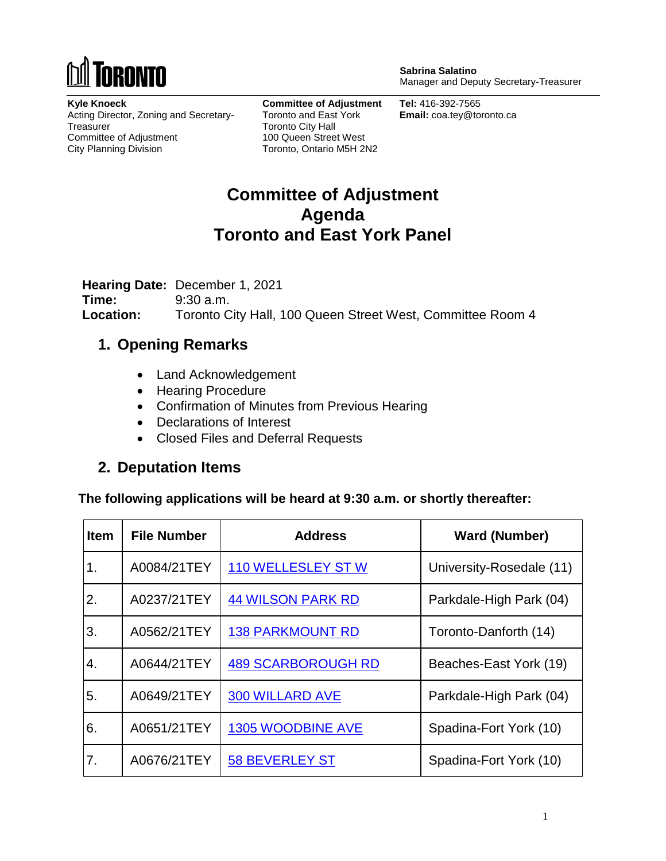

**Sabrina Salatino** Manager and Deputy Secretary-Treasurer

**Kyle Knoeck** Acting Director, Zoning and Secretary-**Treasurer** Committee of Adjustment City Planning Division

**Committee of Adjustment** Toronto and East York Toronto City Hall 100 Queen Street West Toronto, Ontario M5H 2N2

**Tel:** 416-392-7565 **Email:** coa.tey@toronto.ca

# **Committee of Adjustment Agenda Toronto and East York Panel**

**Hearing Date:** December 1, 2021 **Time:** 9:30 a.m. **Location:** Toronto City Hall, 100 Queen Street West, Committee Room 4

#### **1. Opening Remarks**

- Land Acknowledgement
- Hearing Procedure
- Confirmation of Minutes from Previous Hearing
- Declarations of Interest
- Closed Files and Deferral Requests

#### **2. Deputation Items**

**The following applications will be heard at 9:30 a.m. or shortly thereafter:**

| <b>Item</b>      | <b>File Number</b> | <b>Address</b>            | <b>Ward (Number)</b>     |
|------------------|--------------------|---------------------------|--------------------------|
| 1.               | A0084/21TEY        | <b>110 WELLESLEY ST W</b> | University-Rosedale (11) |
| 2.               | A0237/21TEY        | <b>44 WILSON PARK RD</b>  | Parkdale-High Park (04)  |
| 3.               | A0562/21TEY        | <b>138 PARKMOUNT RD</b>   | Toronto-Danforth (14)    |
| $\overline{4}$ . | A0644/21TEY        | <b>489 SCARBOROUGH RD</b> | Beaches-East York (19)   |
| 5.               | A0649/21TEY        | <b>300 WILLARD AVE</b>    | Parkdale-High Park (04)  |
| 6.               | A0651/21TEY        | <b>1305 WOODBINE AVE</b>  | Spadina-Fort York (10)   |
| 7.               | A0676/21TEY        | <b>58 BEVERLEY ST</b>     | Spadina-Fort York (10)   |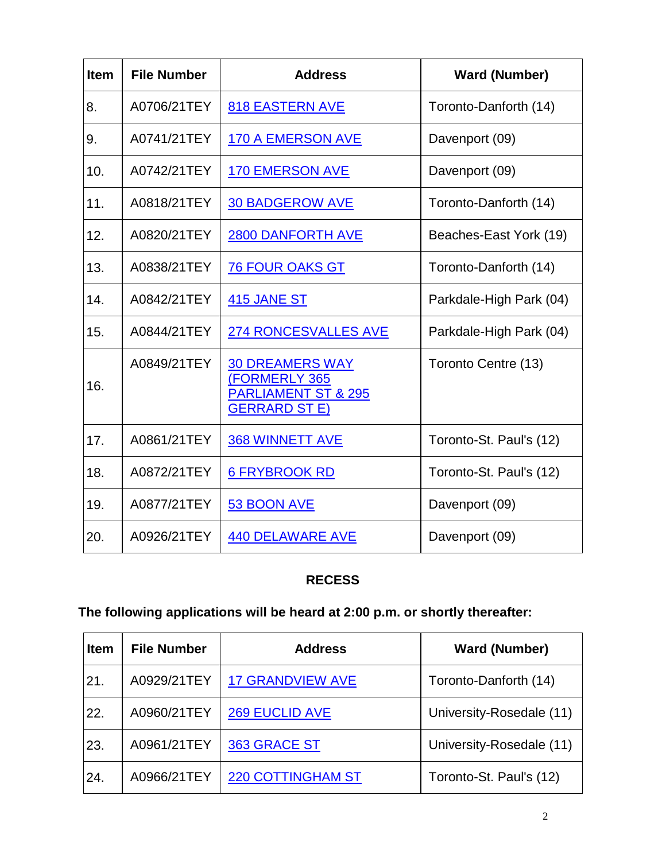| <b>Item</b> | <b>File Number</b> | <b>Address</b>                                                                                            | <b>Ward (Number)</b>    |
|-------------|--------------------|-----------------------------------------------------------------------------------------------------------|-------------------------|
| 8.          | A0706/21TEY        | <b>818 EASTERN AVE</b>                                                                                    | Toronto-Danforth (14)   |
| 9.          | A0741/21TEY        | <b>170 A EMERSON AVE</b>                                                                                  | Davenport (09)          |
| 10.         | A0742/21TEY        | <b>170 EMERSON AVE</b>                                                                                    | Davenport (09)          |
| 11.         | A0818/21TEY        | <b>30 BADGEROW AVE</b>                                                                                    | Toronto-Danforth (14)   |
| 12.         | A0820/21TEY        | <b>2800 DANFORTH AVE</b>                                                                                  | Beaches-East York (19)  |
| 13.         | A0838/21TEY        | <b>76 FOUR OAKS GT</b>                                                                                    | Toronto-Danforth (14)   |
| 14.         | A0842/21TEY        | <b>415 JANE ST</b>                                                                                        | Parkdale-High Park (04) |
| 15.         | A0844/21TEY        | <b>274 RONCESVALLES AVE</b>                                                                               | Parkdale-High Park (04) |
| 16.         | A0849/21TEY        | <b>30 DREAMERS WAY</b><br><b>(FORMERLY 365)</b><br><b>PARLIAMENT ST &amp; 295</b><br><b>GERRARD ST E)</b> | Toronto Centre (13)     |
| 17.         | A0861/21TEY        | <b>368 WINNETT AVE</b>                                                                                    | Toronto-St. Paul's (12) |
| 18.         | A0872/21TEY        | <b>6 FRYBROOK RD</b>                                                                                      | Toronto-St. Paul's (12) |
| 19.         | A0877/21TEY        | 53 BOON AVE                                                                                               | Davenport (09)          |
| 20.         | A0926/21TEY        | <b>440 DELAWARE AVE</b>                                                                                   | Davenport (09)          |

#### **RECESS**

# **The following applications will be heard at 2:00 p.m. or shortly thereafter:**

| <b>Item</b> | <b>File Number</b> | <b>Address</b>           | <b>Ward (Number)</b>     |
|-------------|--------------------|--------------------------|--------------------------|
| 21.         | A0929/21TEY        | <b>17 GRANDVIEW AVE</b>  | Toronto-Danforth (14)    |
| 22.         | A0960/21TEY        | <b>269 EUCLID AVE</b>    | University-Rosedale (11) |
| 23.         | A0961/21TEY        | 363 GRACE ST             | University-Rosedale (11) |
| 24.         | A0966/21TEY        | <b>220 COTTINGHAM ST</b> | Toronto-St. Paul's (12)  |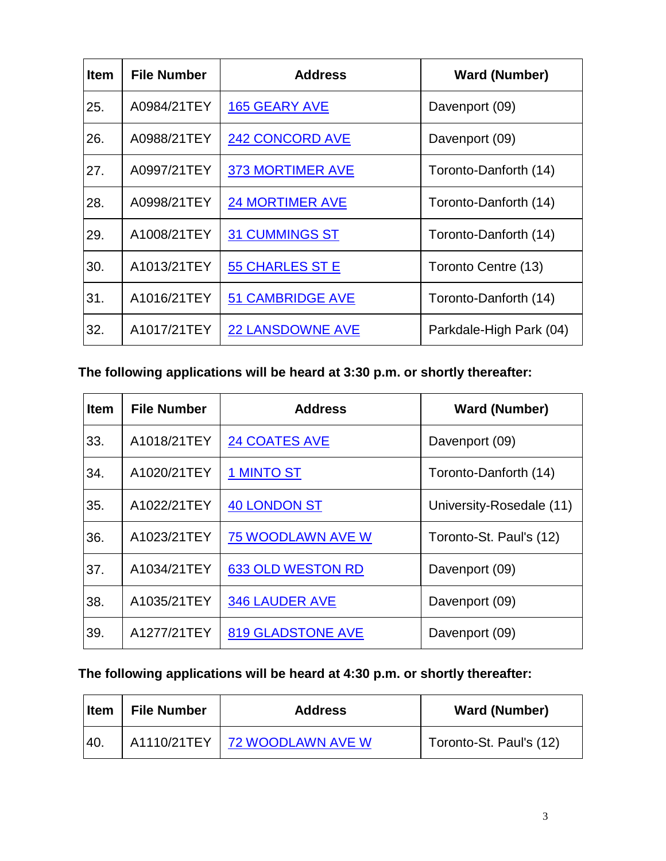| <b>Item</b> | <b>File Number</b> | <b>Address</b>          | <b>Ward (Number)</b>    |
|-------------|--------------------|-------------------------|-------------------------|
| 25.         | A0984/21TEY        | <b>165 GEARY AVE</b>    | Davenport (09)          |
| 26.         | A0988/21TEY        | <b>242 CONCORD AVE</b>  | Davenport (09)          |
| 27.         | A0997/21TEY        | <b>373 MORTIMER AVE</b> | Toronto-Danforth (14)   |
| 28.         | A0998/21TEY        | <b>24 MORTIMER AVE</b>  | Toronto-Danforth (14)   |
| 29.         | A1008/21TEY        | <b>31 CUMMINGS ST</b>   | Toronto-Danforth (14)   |
| 30.         | A1013/21TEY        | <b>55 CHARLES ST E</b>  | Toronto Centre (13)     |
| 31.         | A1016/21TEY        | <b>51 CAMBRIDGE AVE</b> | Toronto-Danforth (14)   |
| 32.         | A1017/21TEY        | <b>22 LANSDOWNE AVE</b> | Parkdale-High Park (04) |

## **The following applications will be heard at 3:30 p.m. or shortly thereafter:**

| <b>Item</b> | <b>File Number</b> | <b>Address</b>           | <b>Ward (Number)</b>     |
|-------------|--------------------|--------------------------|--------------------------|
| 33.         | A1018/21TEY        | <b>24 COATES AVE</b>     | Davenport (09)           |
| 34.         | A1020/21TEY        | <b>1 MINTO ST</b>        | Toronto-Danforth (14)    |
| 35.         | A1022/21TEY        | <b>40 LONDON ST</b>      | University-Rosedale (11) |
| 36.         | A1023/21TEY        | <b>75 WOODLAWN AVE W</b> | Toronto-St. Paul's (12)  |
| 37.         | A1034/21TEY        | <b>633 OLD WESTON RD</b> | Davenport (09)           |
| 38.         | A1035/21TEY        | <b>346 LAUDER AVE</b>    | Davenport (09)           |
| 39.         | A1277/21TEY        | <b>819 GLADSTONE AVE</b> | Davenport (09)           |

## **The following applications will be heard at 4:30 p.m. or shortly thereafter:**

| <b>Item</b> | <b>File Number</b> | <b>Address</b>                  | <b>Ward (Number)</b>    |
|-------------|--------------------|---------------------------------|-------------------------|
| <b>40.</b>  |                    | A1110/21TEY   72 WOODLAWN AVE W | Toronto-St. Paul's (12) |